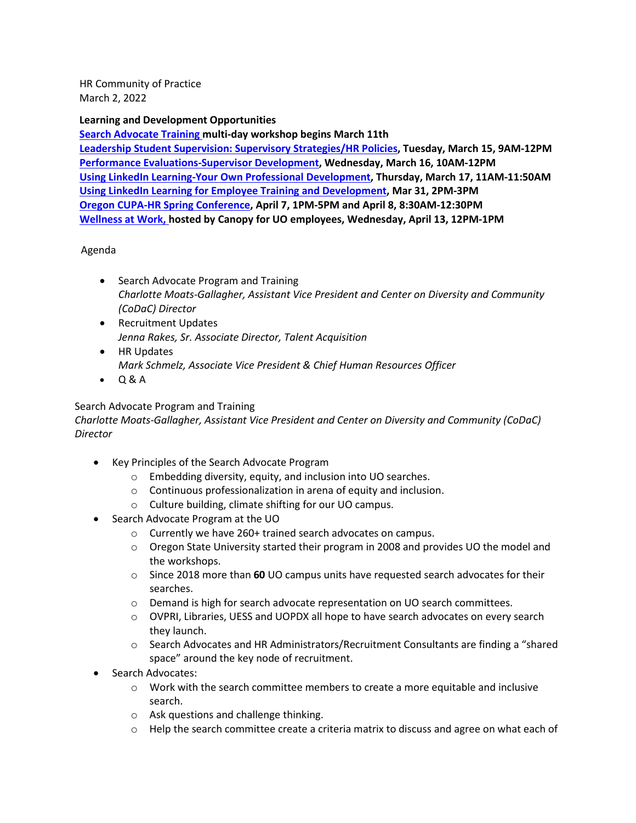HR Community of Practice March 2, 2022

## **Learning and Development Opportunities**

**[Search Advocate Training m](https://uomytrack.pageuppeople.com/learning/3329)ulti-day workshop begins March 11th [Leadership Student Supervision: Supervisory Strategies/HR Policies,](https://uomytrack.pageuppeople.com/learning/1887) Tuesday, March 15, 9AM-12PM [Performance Evaluations-Supervisor Development,](https://uomytrack.pageuppeople.com/learning/2440) Wednesday, March 16, 10AM-12PM [Using LinkedIn Learning-Your Own Professional Development,](https://uomytrack.pageuppeople.com/learning/3292) Thursday, March 17, 11AM-11:50AM [Using LinkedIn Learning for Employee Training and Development,](https://uomytrack.pageuppeople.com/learning/3293) Mar 31, 2PM-3PM [Oregon CUPA-HR Spring Conference,](https://chapters.cupahr.org/or/) April 7, 1PM-5PM and April 8, 8:30AM-12:30PM [Wellness at Work, h](https://register.gotowebinar.com/register/5507047345517377295)osted by Canopy for UO employees, Wednesday, April 13, 12PM-1PM**

Agenda

- Search Advocate Program and Training *Charlotte Moats-Gallagher, Assistant Vice President and Center on Diversity and Community (CoDaC) Director*
- Recruitment Updates *Jenna Rakes, Sr. Associate Director, Talent Acquisition*
- HR Updates *Mark Schmelz, Associate Vice President & Chief Human Resources Officer*
- Q & A

## Search Advocate Program and Training

*Charlotte Moats-Gallagher, Assistant Vice President and Center on Diversity and Community (CoDaC) Director*

- Key Principles of the Search Advocate Program
	- o Embedding diversity, equity, and inclusion into UO searches.
	- o Continuous professionalization in arena of equity and inclusion.
	- o Culture building, climate shifting for our UO campus.
- Search Advocate Program at the UO
	- o Currently we have 260+ trained search advocates on campus.
	- o Oregon State University started their program in 2008 and provides UO the model and the workshops.
	- o Since 2018 more than **60** UO campus units have requested search advocates for their searches.
	- o Demand is high for search advocate representation on UO search committees.
	- o OVPRI, Libraries, UESS and UOPDX all hope to have search advocates on every search they launch.
	- o Search Advocates and HR Administrators/Recruitment Consultants are finding a "shared space" around the key node of recruitment.
- Search Advocates:
	- $\circ$  Work with the search committee members to create a more equitable and inclusive search.
	- o Ask questions and challenge thinking.
	- $\circ$  Help the search committee create a criteria matrix to discuss and agree on what each of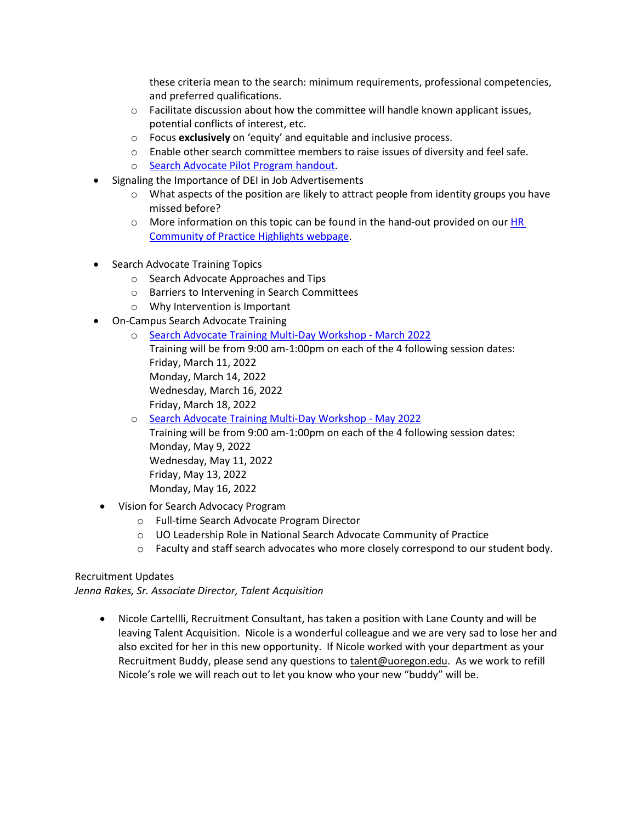these criteria mean to the search: minimum requirements, professional competencies, and preferred qualifications.

- $\circ$  Facilitate discussion about how the committee will handle known applicant issues, potential conflicts of interest, etc.
- o Focus **exclusively** on 'equity' and equitable and inclusive process.
- $\circ$  Enable other search committee members to raise issues of diversity and feel safe.
- o Search Advocate Pilot Program handout.
- Signaling the Importance of DEI in Job Advertisements
	- $\circ$  What aspects of the position are likely to attract people from identity groups you have missed before?
	- $\circ$  More information on this topic can be found in the hand-out provided on our HR Community of Practice Highlights webpage.
- Search Advocate Training Topics
	- o Search Advocate Approaches and Tips
	- o Barriers to Intervening in Search Committees
	- o Why Intervention is Important
- On-Campus Search Advocate Training
	- o [Search Advocate Training Multi-Day Workshop -](https://uomytrack.pageuppeople.com/learning/3329) March 2022 Training will be from 9:00 am-1:00pm on each of the 4 following session dates: Friday, March 11, 2022 Monday, March 14, 2022 Wednesday, March 16, 2022 Friday, March 18, 2022
	- o [Search Advocate Training Multi-Day Workshop -](https://uomytrack.pageuppeople.com/learning/3330) May 2022 Training will be from 9:00 am-1:00pm on each of the 4 following session dates: Monday, May 9, 2022 Wednesday, May 11, 2022 Friday, May 13, 2022 Monday, May 16, 2022
- Vision for Search Advocacy Program
	- o Full-time Search Advocate Program Director
	- o UO Leadership Role in National Search Advocate Community of Practice
	- o Faculty and staff search advocates who more closely correspond to our student body.

## Recruitment Updates

*Jenna Rakes, Sr. Associate Director, Talent Acquisition*

• Nicole Cartellli, Recruitment Consultant, has taken a position with Lane County and will be leaving Talent Acquisition. Nicole is a wonderful colleague and we are very sad to lose her and also excited for her in this new opportunity. If Nicole worked with your department as your Recruitment Buddy, please send any questions to **talent@uoregon.edu.** As we work to refill Nicole's role we will reach out to let you know who your new "buddy" will be.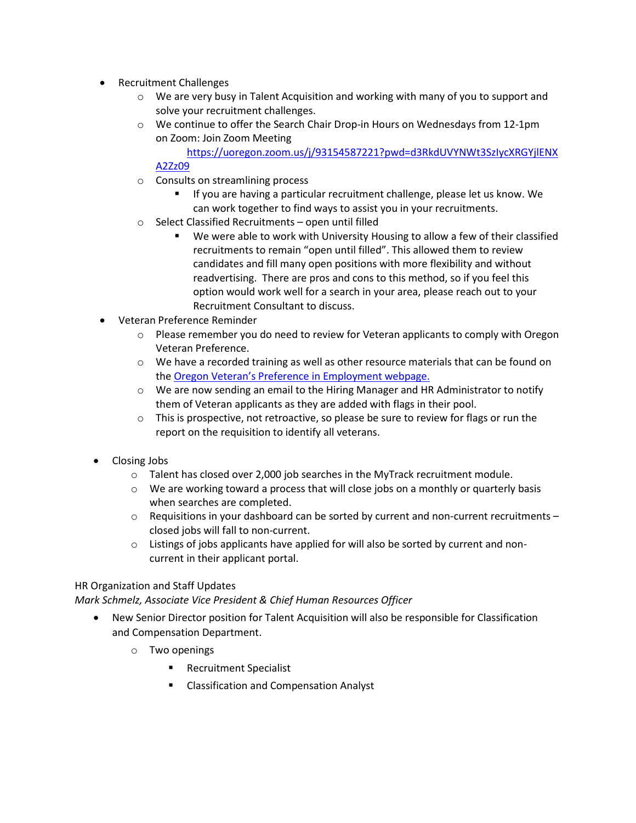- Recruitment Challenges
	- o We are very busy in Talent Acquisition and working with many of you to support and solve your recruitment challenges.
	- o We continue to offer the Search Chair Drop-in Hours on Wednesdays from 12-1pm on Zoom: Join Zoom Meeting

[https://uoregon.zoom.us/j/93154587221?pwd=d3RkdUVYNWt3SzIycXRGYjlENX](https://uoregon.zoom.us/j/93154587221?pwd=d3RkdUVYNWt3SzIycXRGYjlENXA2Zz09) [A2Zz09](https://uoregon.zoom.us/j/93154587221?pwd=d3RkdUVYNWt3SzIycXRGYjlENXA2Zz09)

- o Consults on streamlining process
	- **If you are having a particular recruitment challenge, please let us know. We** can work together to find ways to assist you in your recruitments.
- o Select Classified Recruitments open until filled
	- We were able to work with University Housing to allow a few of their classified recruitments to remain "open until filled". This allowed them to review candidates and fill many open positions with more flexibility and without readvertising. There are pros and cons to this method, so if you feel this option would work well for a search in your area, please reach out to your Recruitment Consultant to discuss.
- Veteran Preference Reminder
	- $\circ$  Please remember you do need to review for Veteran applicants to comply with Oregon Veteran Preference.
	- $\circ$  We have a recorded training as well as other resource materials that can be found on th[e Oregon Veteran's Preference in Employment webpage.](https://hr.uoregon.edu/recruitment/oregon-veterans-preference-employment)
	- $\circ$  We are now sending an email to the Hiring Manager and HR Administrator to notify them of Veteran applicants as they are added with flags in their pool.
	- $\circ$  This is prospective, not retroactive, so please be sure to review for flags or run the report on the requisition to identify all veterans.
- Closing Jobs
	- $\circ$  Talent has closed over 2,000 job searches in the MyTrack recruitment module.
	- $\circ$  We are working toward a process that will close jobs on a monthly or quarterly basis when searches are completed.
	- $\circ$  Requisitions in your dashboard can be sorted by current and non-current recruitments closed jobs will fall to non-current.
	- $\circ$  Listings of jobs applicants have applied for will also be sorted by current and noncurrent in their applicant portal.

## HR Organization and Staff Updates

*Mark Schmelz, Associate Vice President & Chief Human Resources Officer*

- New Senior Director position for Talent Acquisition will also be responsible for Classification and Compensation Department.
	- o Two openings
		- **Recruitment Specialist**
		- **EXEC** Classification and Compensation Analyst